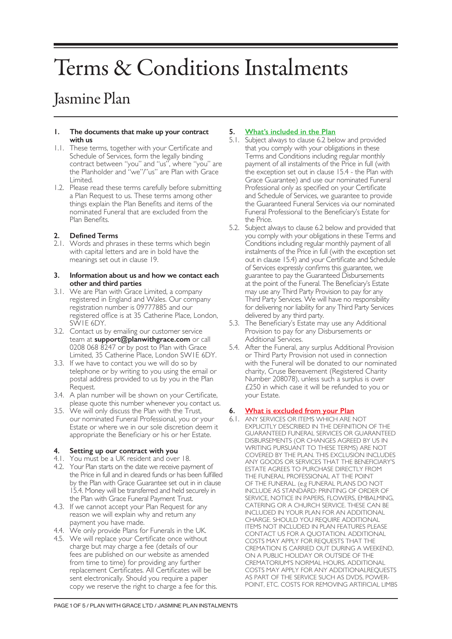# Terms & Conditions Instalments

# Jasmine Plan

#### **1. The documents that make up your contract with us**

- 1.1. These terms, together with your Certificate and Schedule of Services, form the legally binding contract between "you" and "us", where "you" are the Planholder and "we"/"us" are Plan with Grace Limited.
- 1.2. Please read these terms carefully before submitting a Plan Request to us. These terms among other things explain the Plan Benefits and items of the nominated Funeral that are excluded from the Plan Benefits.

# **2. Defined Terms**

2.1. Words and phrases in these terms which begin with capital letters and are in bold have the meanings set out in clause 19.

#### **3. Information about us and how we contact each other and third parties**

- 3.1. We are Plan with Grace Limited, a company registered in England and Wales. Our company registration number is 09777885 and our registered office is at 35 Catherine Place, London, SW1E 6DY.
- 3.2. Contact us by emailing our customer service team at **support@planwithgrace.com** or call 0208 068 8247 or by post to Plan with Grace Limited, 35 Catherine Place, London SW1E 6DY.
- 3.3. If we have to contact you we will do so by telephone or by writing to you using the email or postal address provided to us by you in the Plan Request.
- 3.4. A plan number will be shown on your Certificate, please quote this number whenever you contact us.
- 3.5. We will only discuss the Plan with the Trust, our nominated Funeral Professional, you or your Estate or where we in our sole discretion deem it appropriate the Beneficiary or his or her Estate.

# **4. Setting up our contract with you**

- 4.1. You must be a UK resident and over 18.
- 4.2. Your Plan starts on the date we receive payment of the Price in full and in cleared funds or has been fulfilled by the Plan with Grace Guarantee set out in in clause 15.4. Money will be transferred and held securely in the Plan with Grace Funeral Payment Trust.
- 4.3. If we cannot accept your Plan Request for any reason we will explain why and return any payment you have made.
- 4.4. We only provide Plans for Funerals in the UK.
- 4.5. We will replace your Certificate once without charge but may charge a fee (details of our fees are published on our website as amended from time to time) for providing any further replacement Certificates. All Certificates will be sent electronically. Should you require a paper copy we reserve the right to charge a fee for this.

# **5. What's included in the Plan**

- 5.1. Subject always to clause 6.2 below and provided that you comply with your obligations in these Terms and Conditions including regular monthly payment of all instalments of the Price in full (with the exception set out in clause 15.4 - the Plan with Grace Guarantee) and use our nominated Funeral Professional only as specified on your Certificate and Schedule of Services, we guarantee to provide the Guaranteed Funeral Services via our nominated Funeral Professional to the Beneficiary's Estate for the Price.
- 5.2. Subject always to clause 6.2 below and provided that you comply with your obligations in these Terms and Conditions including regular monthly payment of all instalments of the Price in full (with the exception set out in clause 15.4) and your Certificate and Schedule of Services expressly confirms this guarantee, we guarantee to pay the Guaranteed Disbursements at the point of the Funeral. The Beneficiary's Estate may use any Third Party Provision to pay for any Third Party Services. We will have no responsibility for delivering nor liability for any Third Party Services delivered by any third party.
- 5.3. The Beneficiary's Estate may use any Additional Provision to pay for any Disbursements or Additional Services.
- 5.4. After the Funeral, any surplus Additional Provision or Third Party Provision not used in connection with the Funeral will be donated to our nominated charity, Cruse Bereavement (Registered Charity Number 208078), unless such a surplus is over £250 in which case it will be refunded to you or your Estate.

# **6. What is excluded from your Plan**

6.1. ANY SERVICES OR ITEMS WHICH ARE NOT EXPLICITLY DESCRIBED IN THE DEFINITION OF THE GUARANTEED FUNERAL SERVICES OR GUARANTEED DISBURSEMENTS (OR CHANGES AGREED BY US IN WRITING PURSUANT TO THESE TERMS) ARE NOT COVERED BY THE PLAN. THIS EXCLUSION INCLUDES ANY GOODS OR SERVICES THAT THE BENEFICIARY'S ESTATE AGREES TO PURCHASE DIRECTLY FROM THE FUNERAL PROFESSIONAL AT THE POINT OF THE FUNERAL. (e.g FUNERAL PLANS DO NOT INCLUDE AS STANDARD: PRINTING OF ORDER OF SERVICE, NOTICE IN PAPERS, FLOWERS, EMBALMING, CATERING OR A CHURCH SERVICE. THESE CAN BE INCLUDED IN YOUR PLAN FOR AN ADDITIONAL CHARGE. SHOULD YOU REQUIRE ADDITIONAL ITEMS NOT INCLUDED IN PLAN FEATURES PLEASE CONTACT US FOR A QUOTATION. ADDITIONAL COSTS MAY APPLY FOR REQUESTS THAT THE CREMATION IS CARRIED OUT DURING A WEEKEND, ON A PUBLIC HOLIDAY OR OUTSIDE OF THE CREMATORIUM'S NORMAL HOURS. ADDITIONAL COSTS MAY APPLY FOR ANY ADDITIONALREQUESTS AS PART OF THE SERVICE SUCH AS DVDS, POWER-POINT, ETC. COSTS FOR REMOVING ARTIFICIAL LIMBS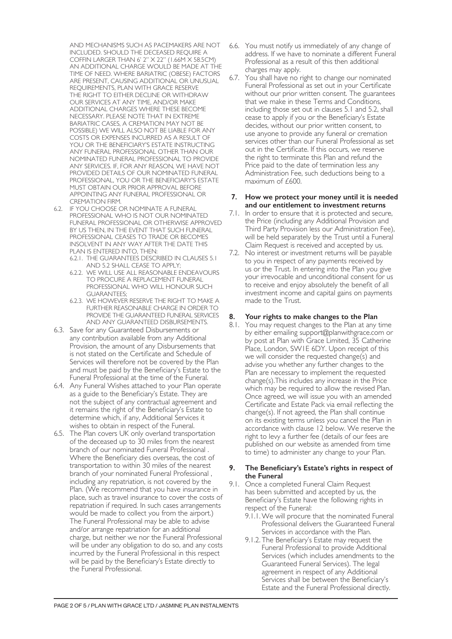AND MECHANISMS SUCH AS PACEMAKERS ARE NOT INCLUDED. SHOULD THE DECEASED REQUIRE A COFFIN LARGER THAN 6' 2" X 22" (1.66M X 58.5CM) AN ADDITIONAL CHARGE WOULD BE MADE AT THE TIME OF NEED. WHERE BARIATRIC (OBESE) FACTORS ARE PRESENT, CAUSING ADDITIONAL OR UNUSUAL REQUIREMENTS, PLAN WITH GRACE RESERVE THE RIGHT TO EITHER DECLINE OR WITHDRAW OUR SERVICES AT ANY TIME, AND/OR MAKE ADDITIONAL CHARGES WHERE THESE BECOME NECESSARY. PLEASE NOTE THAT IN EXTREME BARIATRIC CASES, A CREMATION MAY NOT BE POSSIBLE) WE WILL ALSO NOT BE LIABLE FOR ANY COSTS OR EXPENSES INCURRED AS A RESULT OF YOU OR THE BENEFICIARY'S ESTATE INSTRUCTING ANY FUNERAL PROFESSIONAL OTHER THAN OUR NOMINATED FUNERAL PROFESSIONAL TO PROVIDE ANY SERVICES. IF, FOR ANY REASON, WE HAVE NOT PROVIDED DETAILS OF OUR NOMINATED FUNERAL PROFESSIONAL, YOU OR THE BENEFICIARY'S ESTATE MUST OBTAIN OUR PRIOR APPROVAL BEFORE APPOINTING ANY FUNERAL PROFESSIONAL OR CREMATION FIRM.

- 6.2. IF YOU CHOOSE OR NOMINATE A FUNERAL PROFESSIONAL WHO IS NOT OUR NOMINATED FUNERAL PROFESSIONAL OR OTHERWISE APPROVED BY US THEN, IN THE EVENT THAT SUCH FUNERAL PROFESSIONAL CEASES TO TRADE OR BECOMES INSOLVENT IN ANY WAY AFTER THE DATE THIS PLAN IS ENTERED INTO, THEN:
	- 6.2.1. THE GUARANTEES DESCRIBED IN CLAUSES 5.1 AND 5.2 SHALL CEASE TO APPLY;
	- 6.2.2. WE WILL USE ALL REASONABLE ENDEAVOURS TO PROCURE A REPLACEMENT FUNERAL PROFESSIONAL WHO WILL HONOUR SUCH GUARANTEES;
	- 6.2.3. WE HOWEVER RESERVE THE RIGHT TO MAKE A FURTHER REASONABLE CHARGE IN ORDER TO PROVIDE THE GUARANTEED FUNERAL SERVICES AND ANY GUARANTEED DISBURSEMENTS.
- 6.3. Save for any Guaranteed Disbursements or any contribution available from any Additional Provision, the amount of any Disbursements that is not stated on the Certificate and Schedule of Services will therefore not be covered by the Plan and must be paid by the Beneficiary's Estate to the Funeral Professional at the time of the Funeral.
- 6.4. Any Funeral Wishes attached to your Plan operate as a guide to the Beneficiary's Estate. They are not the subject of any contractual agreement and it remains the right of the Beneficiary's Estate to determine which, if any, Additional Services it wishes to obtain in respect of the Funeral.
- 6.5. The Plan covers UK only overland transportation of the deceased up to 30 miles from the nearest branch of our nominated Funeral Professional . Where the Beneficiary dies overseas, the cost of transportation to within 30 miles of the nearest branch of your nominated Funeral Professional , including any repatriation, is not covered by the Plan. (We recommend that you have insurance in place, such as travel insurance to cover the costs of repatriation if required. In such cases arrangements would be made to collect you from the airport.) The Funeral Professional may be able to advise and/or arrange repatriation for an additional charge, but neither we nor the Funeral Professional will be under any obligation to do so, and any costs incurred by the Funeral Professional in this respect will be paid by the Beneficiary's Estate directly to the Funeral Professional.
- 6.6. You must notify us immediately of any change of address. If we have to nominate a different Funeral Professional as a result of this then additional charges may apply.
- 6.7. You shall have no right to change our nominated Funeral Professional as set out in your Certificate without our prior written consent. The guarantees that we make in these Terms and Conditions, including those set out in clauses 5.1 and 5.2, shall cease to apply if you or the Beneficiary's Estate decides, without our prior written consent, to use anyone to provide any funeral or cremation services other than our Funeral Professional as set out in the Certificate. If this occurs, we reserve the right to terminate this Plan and refund the Price paid to the date of termination less any Administration Fee, such deductions being to a maximum of £600.

#### **7. How we protect your money until it is needed and our entitlement to investment returns**

- 7.1. In order to ensure that it is protected and secure, the Price (including any Additional Provision and Third Party Provision less our Administration Fee), will be held separately by the Trust until a Funeral Claim Request is received and accepted by us.
- 7.2. No interest or investment returns will be payable to you in respect of any payments received by us or the Trust. In entering into the Plan you give your irrevocable and unconditional consent for us to receive and enjoy absolutely the benefit of all investment income and capital gains on payments made to the Trust.

# **8. Your rights to make changes to the Plan**

8.1. You may request changes to the Plan at any time by either emailing support@planwithgrace.com or by post at Plan with Grace Limited, 35 Catherine Place, London, SW1E 6DY. Upon receipt of this we will consider the requested change(s) and advise you whether any further changes to the Plan are necessary to implement the requested change(s).This includes any increase in the Price which may be required to allow the revised Plan. Once agreed, we will issue you with an amended Certificate and Estate Pack via email reflecting the change(s). If not agreed, the Plan shall continue on its existing terms unless you cancel the Plan in accordance with clause 12 below. We reserve the right to levy a further fee (details of our fees are published on our website as amended from time to time) to administer any change to your Plan.

#### **9. The Beneficiary's Estate's rights in respect of the Funeral**

- 9.1. Once a completed Funeral Claim Request has been submitted and accepted by us, the Beneficiary's Estate have the following rights in respect of the Funeral:
	- 9.1.1.We will procure that the nominated Funeral Professional delivers the Guaranteed Funeral Services in accordance with the Plan.
	- 9.1.2. The Beneficiary's Estate may request the Funeral Professional to provide Additional Services (which includes amendments to the Guaranteed Funeral Services). The legal agreement in respect of any Additional Services shall be between the Beneficiary's Estate and the Funeral Professional directly.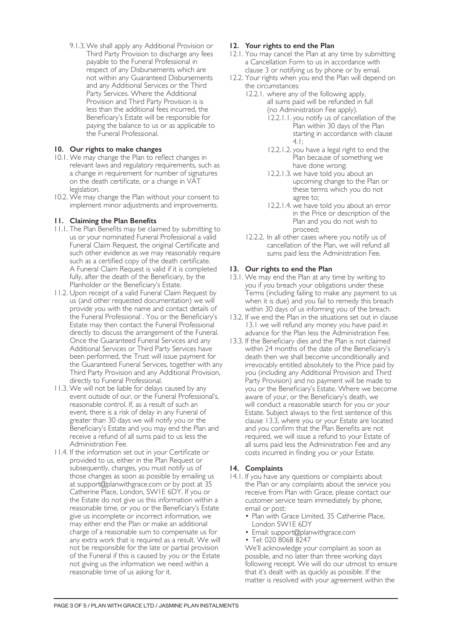9.1.3.We shall apply any Additional Provision or Third Party Provision to discharge any fees payable to the Funeral Professional in respect of any Disbursements which are not within any Guaranteed Disbursements and any Additional Services or the Third Party Services. Where the Additional Provision and Third Party Provision is is less than the additional fees incurred, the Beneficiary's Estate will be responsible for paying the balance to us or as applicable to the Funeral Professional.

# **10. Our rights to make changes**

- 10.1. We may change the Plan to reflect changes in relevant laws and regulatory requirements, such as a change in requirement for number of signatures on the death certificate, or a change in VAT legislation.
- 10.2. We may change the Plan without your consent to implement minor adjustments and improvements.

# **11. Claiming the Plan Benefits**

- 11.1. The Plan Benefits may be claimed by submitting to us or your nominated Funeral Professional a valid Funeral Claim Request, the original Certificate and such other evidence as we may reasonably require such as a certified copy of the death certificate. A Funeral Claim Request is valid if it is completed fully, after the death of the Beneficiary, by the Planholder or the Beneficiary's Estate.
- 11.2. Upon receipt of a valid Funeral Claim Request by us (and other requested documentation) we will provide you with the name and contact details of the Funeral Professional . You or the Beneficiary's Estate may then contact the Funeral Professional directly to discuss the arrangement of the Funeral. Once the Guaranteed Funeral Services and any Additional Services or Third Party Services have been performed, the Trust will issue payment for the Guaranteed Funeral Services, together with any Third Party Provision and any Additional Provision, directly to Funeral Professional.
- 11.3. We will not be liable for delays caused by any event outside of our, or the Funeral Professional's, reasonable control. If, as a result of such an event, there is a risk of delay in any Funeral of greater than 30 days we will notify you or the Beneficiary's Estate and you may end the Plan and receive a refund of all sums paid to us less the Administration Fee.
- 11.4. If the information set out in your Certificate or provided to us, either in the Plan Request or subsequently, changes, you must notify us of those changes as soon as possible by emailing us at support@planwithgrace.com or by post at 35 Catherine Place, London, SW1E 6DY. If you or the Estate do not give us this information within a reasonable time, or you or the Beneficiary's Estate give us incomplete or incorrect information, we may either end the Plan or make an additional charge of a reasonable sum to compensate us for any extra work that is required as a result. We will not be responsible for the late or partial provision of the Funeral if this is caused by you or the Estate not giving us the information we need within a reasonable time of us asking for it.

# **12. Your rights to end the Plan**

- 12.1. You may cancel the Plan at any time by submitting a Cancellation Form to us in accordance with clause 3 or notifying us by phone or by email.
- 12.2. Your rights when you end the Plan will depend on the circumstances:
	- 12.2.1. where any of the following apply, all sums paid will be refunded in full (no Administration Fee apply).
		- 12.2.1.1. you notify us of cancellation of the Plan within 30 days of the Plan starting in accordance with clause 4.1;
		- 12.2.1.2. you have a legal right to end the Plan because of something we have done wrong;
		- 12.2.1.3. we have told you about an upcoming change to the Plan or these terms which you do not agree to;
		- 12.2.1.4. we have told you about an error in the Price or description of the Plan and you do not wish to proceed;
	- 12.2.2. In all other cases where you notify us of cancellation of the Plan, we will refund all sums paid less the Administration Fee.

# **13. Our rights to end the Plan**

- 13.1. We may end the Plan at any time by writing to you if you breach your obligations under these Terms (including failing to make any payment to us when it is due) and you fail to remedy this breach within 30 days of us informing you of the breach.
- 13.2. If we end the Plan in the situations set out in clause 13.1 we will refund any money you have paid in advance for the Plan less the Administration Fee.
- 13.3. If the Beneficiary dies and the Plan is not claimed within 24 months of the date of the Beneficiary's death then we shall become unconditionally and irrevocably entitled absolutely to the Price paid by you (including any Additional Provision and Third Party Provision) and no payment will be made to you or the Beneficiary's Estate. Where we become aware of your, or the Beneficiary's death, we will conduct a reasonable search for you or your Estate. Subject always to the first sentence of this clause 13.3, where you or your Estate are located and you confirm that the Plan Benefits are not required, we will issue a refund to your Estate of all sums paid less the Administration Fee and any costs incurred in finding you or your Estate.

#### **14. Complaints**

- 14.1. If you have any questions or complaints about the Plan or any complaints about the service you receive from Plan with Grace, please contact our customer service team immediately by phone, email or post:
	- Plan with Grace Limited, 35 Catherine Place, London SW1E 6DY
	- Email: support@planwithgrace.com
	- Tel: 020 8068 8247

We'll acknowledge your complaint as soon as possible, and no later than three working days following receipt. We will do our utmost to ensure that it's dealt with as quickly as possible. If the matter is resolved with your agreement within the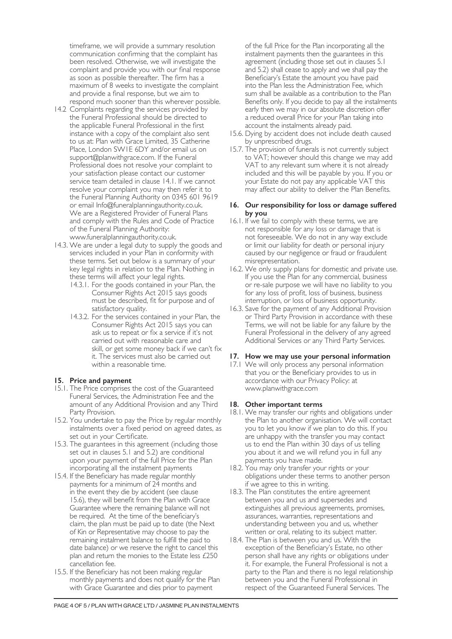timeframe, we will provide a summary resolution communication confirming that the complaint has been resolved. Otherwise, we will investigate the complaint and provide you with our final response as soon as possible thereafter. The firm has a maximum of 8 weeks to investigate the complaint and provide a final response, but we aim to respond much sooner than this wherever possible.

- 14.2 Complaints regarding the services provided by the Funeral Professional should be directed to the applicable Funeral Professional in the first instance with a copy of the complaint also sent to us at: Plan with Grace Limited, 35 Catherine Place, London SW1E 6DY and/or email us on support@planwithgrace.com. If the Funeral Professional does not resolve your complaint to your satisfaction please contact our customer service team detailed in clause 14.1. If we cannot resolve your complaint you may then refer it to the Funeral Planning Authority on 0345 601 9619 or email Info@funeralplanningauthority.co.uk. We are a Registered Provider of Funeral Plans and comply with the Rules and Code of Practice of the Funeral Planning Authority: www.funeralplanningauthority.co.uk.
- 14.3. We are under a legal duty to supply the goods and services included in your Plan in conformity with these terms. Set out below is a summary of your key legal rights in relation to the Plan. Nothing in these terms will affect your legal rights.
	- 14.3.1. For the goods contained in your Plan, the Consumer Rights Act 2015 says goods must be described, fit for purpose and of satisfactory quality.
	- 14.3.2. For the services contained in your Plan, the Consumer Rights Act 2015 says you can ask us to repeat or fix a service if it's not carried out with reasonable care and skill, or get some money back if we can't fix it. The services must also be carried out within a reasonable time.

#### **15. Price and payment**

- 15.1. The Price comprises the cost of the Guaranteed Funeral Services, the Administration Fee and the amount of any Additional Provision and any Third Party Provision.
- 15.2. You undertake to pay the Price by regular monthly instalments over a fixed period on agreed dates, as set out in your Certificate.
- 15.3. The guarantees in this agreement (including those set out in clauses 5.1 and 5.2) are conditional upon your payment of the full Price for the Plan incorporating all the instalment payments
- 15.4. If the Beneficiary has made regular monthly payments for a minimum of 24 months and in the event they die by accident (see clause 15.6), they will benefit from the Plan with Grace Guarantee where the remaining balance will not be required. At the time of the beneficiary's claim, the plan must be paid up to date (the Next of Kin or Representative may choose to pay the remaining instalment balance to fulfill the paid to date balance) or we reserve the right to cancel this plan and return the monies to the Estate less £250 cancellation fee.
- 15.5. If the Beneficiary has not been making regular monthly payments and does not qualify for the Plan with Grace Guarantee and dies prior to payment

of the full Price for the Plan incorporating all the instalment payments then the guarantees in this agreement (including those set out in clauses 5.1 and 5.2) shall cease to apply and we shall pay the Beneficiary's Estate the amount you have paid into the Plan less the Administration Fee, which sum shall be available as a contribution to the Plan Benefits only. If you decide to pay all the instalments early then we may in our absolute discretion offer a reduced overall Price for your Plan taking into account the instalments already paid.

- 15.6. Dying by accident does not include death caused by unprescribed drugs.
- 15.7. The provision of funerals is not currently subject to VAT; however should this change we may add VAT to any relevant sum where it is not already included and this will be payable by you. If you or your Estate do not pay any applicable VAT this may affect our ability to deliver the Plan Benefits.

### **16. Our responsibility for loss or damage suffered by you**

- 16.1. If we fail to comply with these terms, we are not responsible for any loss or damage that is not foreseeable. We do not in any way exclude or limit our liability for death or personal injury caused by our negligence or fraud or fraudulent misrepresentation.
- 16.2. We only supply plans for domestic and private use. If you use the Plan for any commercial, business or re-sale purpose we will have no liability to you for any loss of profit, loss of business, business interruption, or loss of business opportunity.
- 16.3. Save for the payment of any Additional Provision or Third Party Provision in accordance with these Terms, we will not be liable for any failure by the Funeral Professional in the delivery of any agreed Additional Services or any Third Party Services.

#### **17. How we may use your personal information**

17.1 We will only process any personal information that you or the Beneficiary provides to us in accordance with our Privacy Policy: at www.planwithgrace.com

#### **18. Other important terms**

- 18.1. We may transfer our rights and obligations under the Plan to another organisation. We will contact you to let you know if we plan to do this. If you are unhappy with the transfer you may contact us to end the Plan within 30 days of us telling you about it and we will refund you in full any payments you have made.
- 18.2. You may only transfer your rights or your obligations under these terms to another person if we agree to this in writing.
- 18.3. The Plan constitutes the entire agreement between you and us and supersedes and extinguishes all previous agreements, promises, assurances, warranties, representations and understanding between you and us, whether written or oral, relating to its subject matter.
- 18.4. The Plan is between you and us. With the exception of the Beneficiary's Estate, no other person shall have any rights or obligations under it. For example, the Funeral Professional is not a party to the Plan and there is no legal relationship between you and the Funeral Professional in respect of the Guaranteed Funeral Services. The